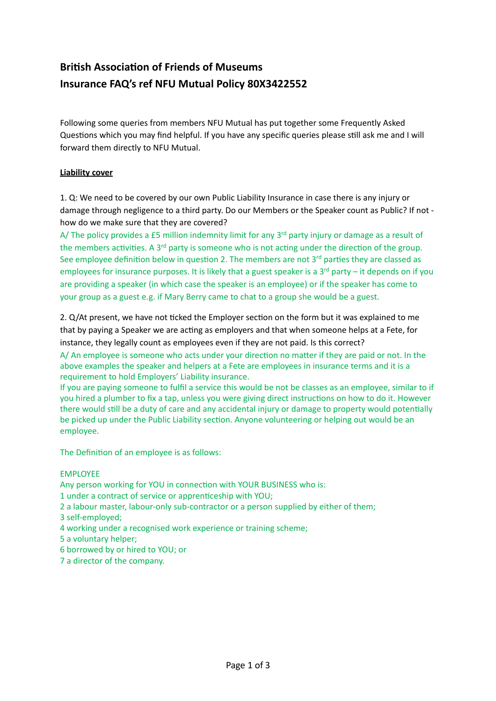# **British Association of Friends of Museums Insurance FAQ's ref NFU Mutual Policy 80X3422552**

Following some queries from members NFU Mutual has put together some Frequently Asked Questions which you may find helpful. If you have any specific queries please still ask me and I will forward them directly to NFU Mutual.

## **Liability cover**

1. Q: We need to be covered by our own Public Liability Insurance in case there is any injury or damage through negligence to a third party. Do our Members or the Speaker count as Public? If not how do we make sure that they are covered?

A/ The policy provides a £5 million indemnity limit for any  $3^{rd}$  party injury or damage as a result of the members activities. A 3<sup>rd</sup> party is someone who is not acting under the direction of the group. See employee definition below in question 2. The members are not  $3<sup>rd</sup>$  parties they are classed as employees for insurance purposes. It is likely that a guest speaker is a  $3^{rd}$  party – it depends on if you are providing a speaker (in which case the speaker is an employee) or if the speaker has come to your group as a guest e.g. if Mary Berry came to chat to a group she would be a guest.

2. Q/At present, we have not ticked the Employer section on the form but it was explained to me that by paying a Speaker we are acting as employers and that when someone helps at a Fete, for instance, they legally count as employees even if they are not paid. Is this correct?

A/ An employee is someone who acts under your direction no matter if they are paid or not. In the above examples the speaker and helpers at a Fete are employees in insurance terms and it is a requirement to hold Employers' Liability insurance.

If you are paying someone to fulfil a service this would be not be classes as an employee, similar to if you hired a plumber to fix a tap, unless you were giving direct instructions on how to do it. However there would still be a duty of care and any accidental injury or damage to property would potentially be picked up under the Public Liability section. Anyone volunteering or helping out would be an employee. 

The Definition of an employee is as follows:

### EMPLOYEE

Any person working for YOU in connection with YOUR BUSINESS who is:

- 1 under a contract of service or apprenticeship with YOU;
- 2 a labour master, labour-only sub-contractor or a person supplied by either of them;
- 3 self-employed;
- 4 working under a recognised work experience or training scheme;
- 5 a voluntary helper;
- 6 borrowed by or hired to YOU; or
- 7 a director of the company.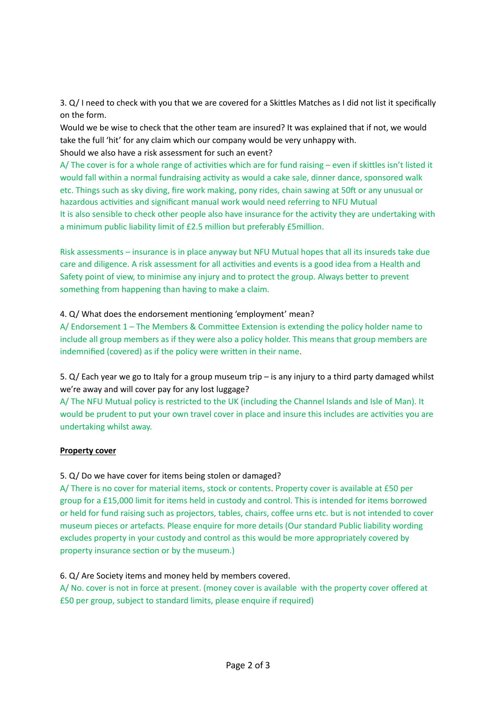3. Q/ I need to check with you that we are covered for a Skittles Matches as I did not list it specifically on the form.

Would we be wise to check that the other team are insured? It was explained that if not, we would take the full 'hit' for any claim which our company would be very unhappy with. Should we also have a risk assessment for such an event?

A/ The cover is for a whole range of activities which are for fund raising – even if skittles isn't listed it would fall within a normal fundraising activity as would a cake sale, dinner dance, sponsored walk etc. Things such as sky diving, fire work making, pony rides, chain sawing at 50ft or any unusual or hazardous activities and significant manual work would need referring to NFU Mutual It is also sensible to check other people also have insurance for the activity they are undertaking with a minimum public liability limit of £2.5 million but preferably £5million.

Risk assessments – insurance is in place anyway but NFU Mutual hopes that all its insureds take due care and diligence. A risk assessment for all activities and events is a good idea from a Health and Safety point of view, to minimise any injury and to protect the group. Always better to prevent something from happening than having to make a claim.

### 4. Q/ What does the endorsement mentioning 'employment' mean?

A/ Endorsement  $1$  – The Members & Committee Extension is extending the policy holder name to include all group members as if they were also a policy holder. This means that group members are indemnified (covered) as if the policy were written in their name.

5.  $Q$ / Each year we go to Italy for a group museum trip – is any injury to a third party damaged whilst we're away and will cover pay for any lost luggage?

A/ The NFU Mutual policy is restricted to the UK (including the Channel Islands and Isle of Man). It would be prudent to put your own travel cover in place and insure this includes are activities you are undertaking whilst away.

### **Property cover**

### 5. Q/ Do we have cover for items being stolen or damaged?

A/ There is no cover for material items, stock or contents. Property cover is available at £50 per group for a £15,000 limit for items held in custody and control. This is intended for items borrowed or held for fund raising such as projectors, tables, chairs, coffee urns etc. but is not intended to cover museum pieces or artefacts. Please enquire for more details (Our standard Public liability wording excludes property in your custody and control as this would be more appropriately covered by property insurance section or by the museum.)

### 6. Q/ Are Society items and money held by members covered.

A/ No. cover is not in force at present. (money cover is available with the property cover offered at £50 per group, subject to standard limits, please enquire if required)